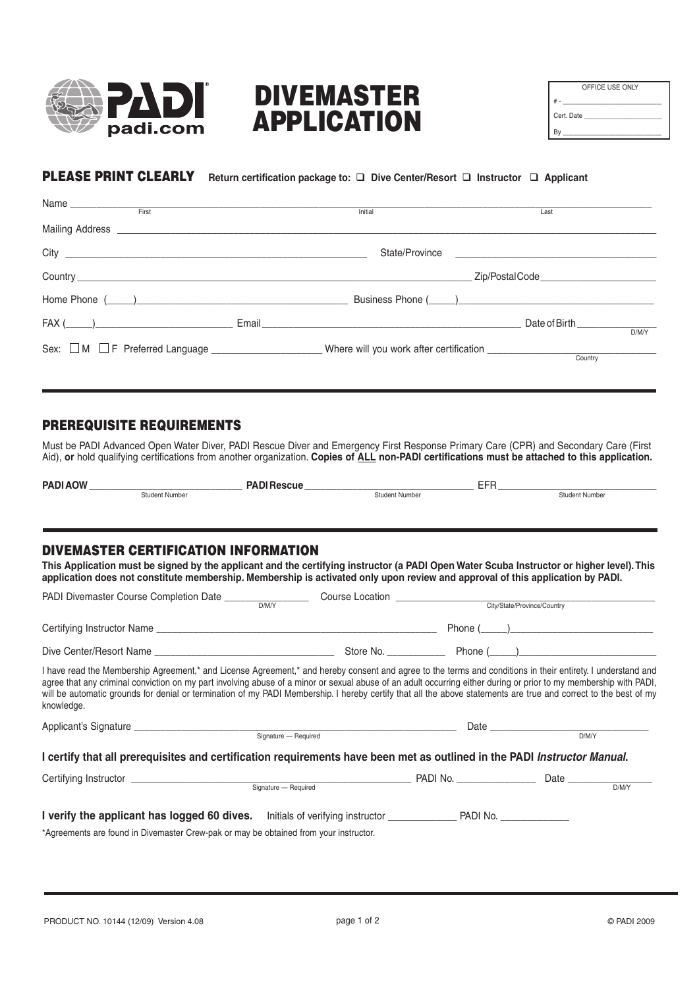

# DIVEMASTER APPLICATION

| OFFICE USE ONLY |
|-----------------|
|                 |
| Cert. Date      |
|                 |

# PLEASE PRINT CLEARLY **Return certification package to: Dive Center/Resort Instructor Applicant**

|              | <b>Initial</b> | Last                                 |
|--------------|----------------|--------------------------------------|
|              |                |                                      |
|              |                |                                      |
|              |                |                                      |
|              |                |                                      |
| $FAX (\_\_)$ |                | Date of Birth ______________<br>DM/Y |
|              |                | Country                              |

### PREREQUISITE REQUIREMENTS

Must be PADI Advanced Open Water Diver, PADI Rescue Diver and Emergency First Response Primary Care (CPR) and Secondary Care (First Aid), **or** hold qualifying certifications from another organization. **Copies of ALL non-PADI certifications must be attached to this application.**

| <b>PAD</b><br>- MC<br>$\mathbf{r}$ |                | ---<br>___<br>. . |  |
|------------------------------------|----------------|-------------------|--|
| <b>Student Number</b>              | Student Number | Student Number    |  |

## DIVEMASTER CERTIFICATION INFORMATION

**This Application must be signed by the applicant and the certifying instructor (a PADI Open Water Scuba Instructor or higher level). This application does not constitute membership. Membership is activated only upon review and approval of this application by PADI.**

|                                                                                                                                                                                                                                                                                                                                                                                                                                                                                                                    | Course Location   City/State/Province/Country |  |
|--------------------------------------------------------------------------------------------------------------------------------------------------------------------------------------------------------------------------------------------------------------------------------------------------------------------------------------------------------------------------------------------------------------------------------------------------------------------------------------------------------------------|-----------------------------------------------|--|
|                                                                                                                                                                                                                                                                                                                                                                                                                                                                                                                    |                                               |  |
|                                                                                                                                                                                                                                                                                                                                                                                                                                                                                                                    |                                               |  |
| I have read the Membership Agreement,* and License Agreement,* and hereby consent and agree to the terms and conditions in their entirety. I understand and<br>agree that any criminal conviction on my part involving abuse of a minor or sexual abuse of an adult occurring either during or prior to my membership with PADI,<br>will be automatic grounds for denial or termination of my PADI Membership. I hereby certify that all the above statements are true and correct to the best of my<br>knowledge. |                                               |  |
| Applicant's Signature expansion of the Signature Signature Pequired                                                                                                                                                                                                                                                                                                                                                                                                                                                |                                               |  |
|                                                                                                                                                                                                                                                                                                                                                                                                                                                                                                                    |                                               |  |
| I certify that all prerequisites and certification requirements have been met as outlined in the PADI Instructor Manual.                                                                                                                                                                                                                                                                                                                                                                                           |                                               |  |
|                                                                                                                                                                                                                                                                                                                                                                                                                                                                                                                    |                                               |  |
|                                                                                                                                                                                                                                                                                                                                                                                                                                                                                                                    |                                               |  |
| *Agreements are found in Divemaster Crew-pak or may be obtained from your instructor.                                                                                                                                                                                                                                                                                                                                                                                                                              |                                               |  |